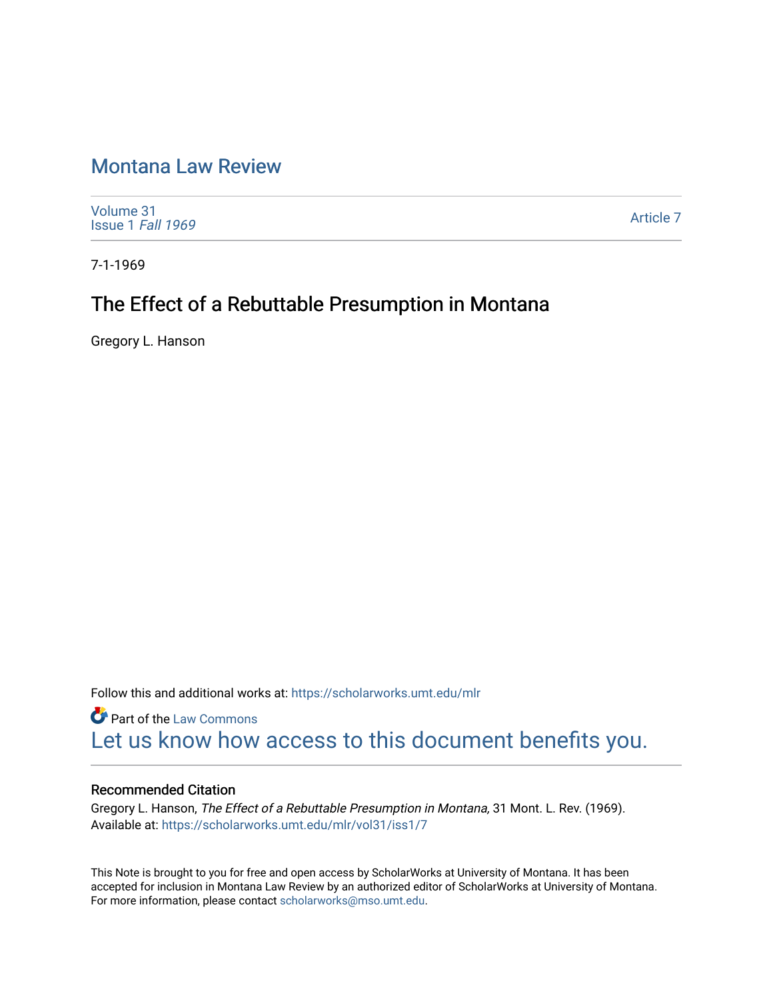## [Montana Law Review](https://scholarworks.umt.edu/mlr)

[Volume 31](https://scholarworks.umt.edu/mlr/vol31) [Issue 1](https://scholarworks.umt.edu/mlr/vol31/iss1) Fall 1969

[Article 7](https://scholarworks.umt.edu/mlr/vol31/iss1/7) 

7-1-1969

# The Effect of a Rebuttable Presumption in Montana

Gregory L. Hanson

Follow this and additional works at: [https://scholarworks.umt.edu/mlr](https://scholarworks.umt.edu/mlr?utm_source=scholarworks.umt.edu%2Fmlr%2Fvol31%2Fiss1%2F7&utm_medium=PDF&utm_campaign=PDFCoverPages) 

**Part of the [Law Commons](http://network.bepress.com/hgg/discipline/578?utm_source=scholarworks.umt.edu%2Fmlr%2Fvol31%2Fiss1%2F7&utm_medium=PDF&utm_campaign=PDFCoverPages)** [Let us know how access to this document benefits you.](https://goo.gl/forms/s2rGfXOLzz71qgsB2) 

## Recommended Citation

Gregory L. Hanson, The Effect of a Rebuttable Presumption in Montana, 31 Mont. L. Rev. (1969). Available at: [https://scholarworks.umt.edu/mlr/vol31/iss1/7](https://scholarworks.umt.edu/mlr/vol31/iss1/7?utm_source=scholarworks.umt.edu%2Fmlr%2Fvol31%2Fiss1%2F7&utm_medium=PDF&utm_campaign=PDFCoverPages) 

This Note is brought to you for free and open access by ScholarWorks at University of Montana. It has been accepted for inclusion in Montana Law Review by an authorized editor of ScholarWorks at University of Montana. For more information, please contact [scholarworks@mso.umt.edu.](mailto:scholarworks@mso.umt.edu)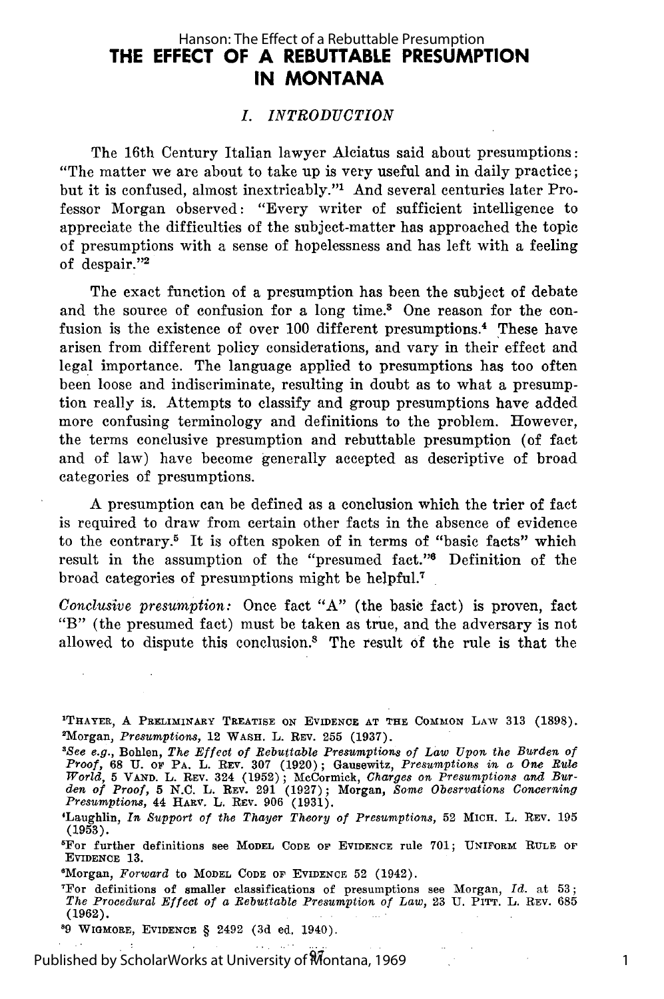## **THE EFFECT OF A REBUTTABLE PRESUMPTION IN MONTANA** Hanson: The Effect of a Rebuttable Presumption

#### *I. INTRODUCTION*

The 16th Century Italian lawyer Alciatus said about presumptions: "The matter we are about to take up is very useful and in daily practice; but it is confused, ahnost inextricably."1 And several centuries later Professor Morgan observed: "Every writer of sufficient intelligence to appreciate the difficulties of the subject-matter has approached the topic of presumptions with a sense of hopelessness and has left with a feeling of despair."2

The exact function of a presumption has been the subject of debate and the source of confusion for a long time.<sup>3</sup> One reason for the confusion is the existence of over 100 different presumptions.<sup>4</sup> These have arisen from different policy considerations, and vary in their effect and legal importance. The language applied to presumptions has too often been loose and indiscriminate, resulting in doubt as to what a presumption really is. Attempts to classify and group presumptions have added more confusing terminology and definitions to the problem. However, the terms conclusive presumption and rebuttable presumption (of fact and of law) have become generally accepted as descriptive of broad categories of presumptions.

A presumption can be defined as a conclusion which the trier of fact is required to draw from certain other facts in the absence of evidence to the contrary.5 It is often spoken of in terms of "basic facts" which result in the assumption of the "presumed fact."<sup>6</sup> Definition of the broad categories of presumptions might be helpful.<sup>7</sup>

*Conclusive presumption:* Once fact "A" (the basic fact) is proven, fact "B" (the presumed fact) must be taken as true, and the adversary is not allowed to dispute this conclusion.<sup>8</sup> The result of the rule is that the

**'THAYER,** A PRELIMINARY TREATISE ON EVIDENCE AT THE COMMON LAW **313 (1898).** 'Morgan, *Presumptions,* 12 WASH. L. REv. **255 (1937).**

1

**'9** WIGuORE, **EVIDENCE** § 2492 (3d **ed.** 1940).

Published by ScholarWorks at University of Montana, 1969

**<sup>&#</sup>x27;See** *e.g.,* Bohlen, *The Effect of Rebuttable Presumptions of Law Upon the Burden of Proof,* 68 **U. oF** PA. L. REV. 307 (1920); Gausewitz, *Presumptions in a One Rule* World, 5 VAND. L. REV. 324 (1952); McCormick, Charges on Presumptions and Burden of Proof, 5 N.C. L. REV. 291 (1927); Morgan, Some Obestvations Concerning Presumptions, 44 HARV. L. REV. 906 (1931).

<sup>&#</sup>x27;Laughlin, *In Support of the Thayer Theory of Presumptions,* 52 MICH. L. REV. 195 (1953).

<sup>&#</sup>x27;For further definitions see **MODEL CODE OF EVIDENCE** rule **701;** UNIFORM RULE **OF** EVIDENCE **13.**

<sup>&#</sup>x27;Morgan, *Forward* to MODEL CODE or EVIDENCE **52** (1942).

<sup>&#</sup>x27;For definitions of smaller classifications of presumptions see Morgan, *Id.* at **53;** *The Procedural Effect of a Rebuttable Presumption of Law,* 23 U. PITT. L. REV. 685 (1962).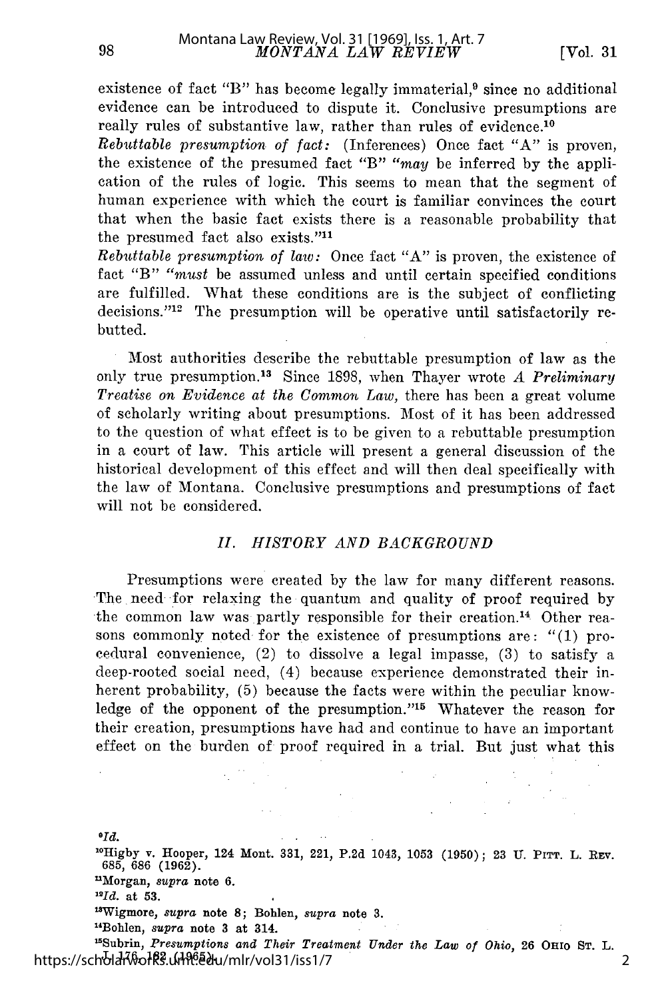2

existence of fact "B" has become legally immaterial,<sup>9</sup> since no additional evidence can be introduced to dispute it. Conclusive presumptions are really rules of substantive law, rather than rules of evidence.<sup>10</sup>

*Rebuttable presumption of fact:* (Inferences) Once fact "A" is proven, the existence of the presumed fact "B" "may be inferred by the application of the rules of logic. This seems to mean that the segment of human experience with which the court is familiar convinces the court that when the basic fact exists there is a reasonable probability that the presumed fact also exists."<sup>11</sup>

*Rebuttable presumption of law:* Once fact "A" is proven, the existence of fact "B" "must be assumed unless and until certain specified conditions are fulfilled. What these conditions are is the subject of conflicting decisions."<sup>12</sup> The presumption will be operative until satisfactorily rebutted.

Most authorities describe the rebuttable presumption of law as the only true presumption. 13 Since 1898, when Thayer wrote *A Preliminary Treatise on Evidence at the Common Law,* there has been a great volume of scholarly writing about presumptions. Most of it has been addressed to the question of what effect is to be given to a rebuttable presumption in a court of law. This article will present a general discussion of the historical development of this effect and will then deal specifically with the law of Montana. Conclusive presumptions and presumptions of fact will not be considered.

#### *II. HISTORY AND BACKGROUND*

Presumptions were created by the law for many different reasons. The need for relaxing the quantum and quality of proof required by the common law was partly responsible for their creation.<sup>14</sup> Other reasons commonly noted for the existence of presumptions are: "(1) procedural convenience, (2) to dissolve a legal impasse, (3) to satisfy a deep-rooted social need, (4) because experience demonstrated their inherent probability, (5) because the facts were within the peculiar knowledge of the opponent of the presumption."<sup>15</sup> Whatever the reason for their creation, presumptions have had and continue to have an important effect on the burden of proof required in a trial. But just what this

*OId.* **' 0Higby** v. Hooper, 124 Mont. **331,** 221, **P.2d** 1043, **1053 (1950); 23 U.** PITT. L. RFv. **685, 686 (1962).** 'Morgan, *supra* **note 6.** *"Id.* at **53.** 1aWigmore, *supra* note **8;** Bohlen, *supra* **note 3.** "Bohlen, *supra* **note 3 at** 314.

I'Subrin, *Presumptions and Their Treatment Under the Law of Ohio,* **26 OHIo ST.** L. **https://scholar\\ofk}}.uiનમે<sup>ဨဲ</sup>.edu/mlr/vol31/iss1/7**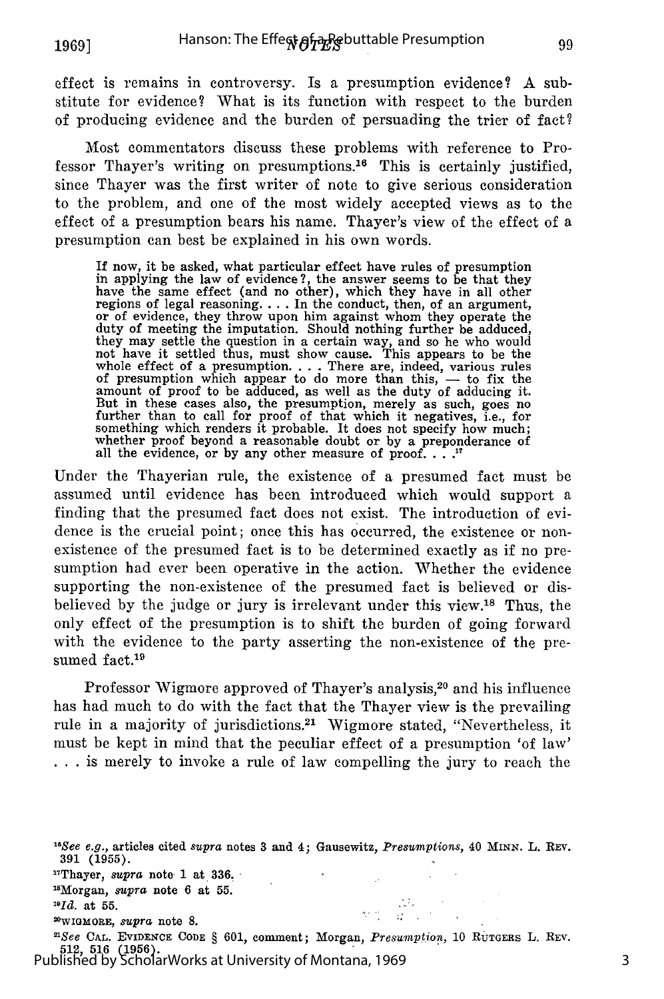effect is remains in controversy. Is a presumption evidence? A substitute for evidence? What is its function with respect to the burden of producing evidence and the burden of persuading the trier of fact?

Most commentators discuss these problems with reference to Professor Thayer's writing on presumptions.16 This is certainly justified, since Thayer was the first writer of note to give serious consideration to the problem, and one of the most widely accepted views as to the effect of a presumption bears his name. Thayer's view of the effect of a presumption can best be explained in his own words.

If now, it be asked, what particular effect have rules of presumption in applying the law of evidence?, the answer seems to be that they have the same effect (and no other), which they have in all other regions of legal reasoning **....** In the conduct, then, of an argument, or of evidence, they throw upon him against whom they operate the duty of meeting the imputation. Should nothing further be adduced, they may settle the question in a certain way, and so he who would not have it settled thus, must show cause. This appears to be the whole effect of a presumption **....** There are, indeed, various rules of presumption which appear to do more than this, - to fix the amount of proof to be adduced, as well as the duty of adducing it. But in these cases also, the presumption, merely as such, goes no<br>further than to call for proof of that which it negatives, i.e., for something which renders it probable. It does not specify how much; whether proof beyond a reasonable doubt or by a preponderance of all the evidence, or by any other measure of proof. . . <sup>1</sup>

Under the Thayerian rule, the existence of a presumed fact must be assumed until evidence has been introduced which would support a finding that the presumed fact does not exist. The introduction of evidence is the crucial point; once this has occurred, the existence or nonexistence of the presumed fact is to be determined exactly as if no presumption had ever been operative in the action. Whether the evidence supporting the non-existence of the presumed fact is believed or disbelieved by the judge or jury is irrelevant under this view.<sup>18</sup> Thus, the only effect of the presumption is to shift the burden of going forward with the evidence to the party asserting the non-existence of the presumed fact.<sup>19</sup>

Professor Wigmore approved of Thayer's analysis,<sup>20</sup> and his influence has had much to do with the fact that the Thayer view is the prevailing rule in a majority of jurisdictions.<sup>21</sup> Wigmore stated, "Nevertheless, it must be kept in mind that the peculiar effect of a presumption 'of law' ... is merely to invoke a rule of law compelling the jury to reach the

"Thayer, *supra* note **1** at 336. "Morgan, *supra* note 6 at 55.

*"Id.* at 55.

2WIO MORE, *supra* note **8.**

*"See* **CAL. EVIDENCE CODE** § 601, comment; Morgan, *Presumption,* **10** RuTGERs L. REV. 512, 516 **(1956).** Published by ScholarWorks at University of Montana, 1969

3

<sup>16</sup>See *e.g.,* articles cited *supra* notes 3 and 4; Gausewitz, *Presumptions,* 40 MINN. L. REv. 391 (1955).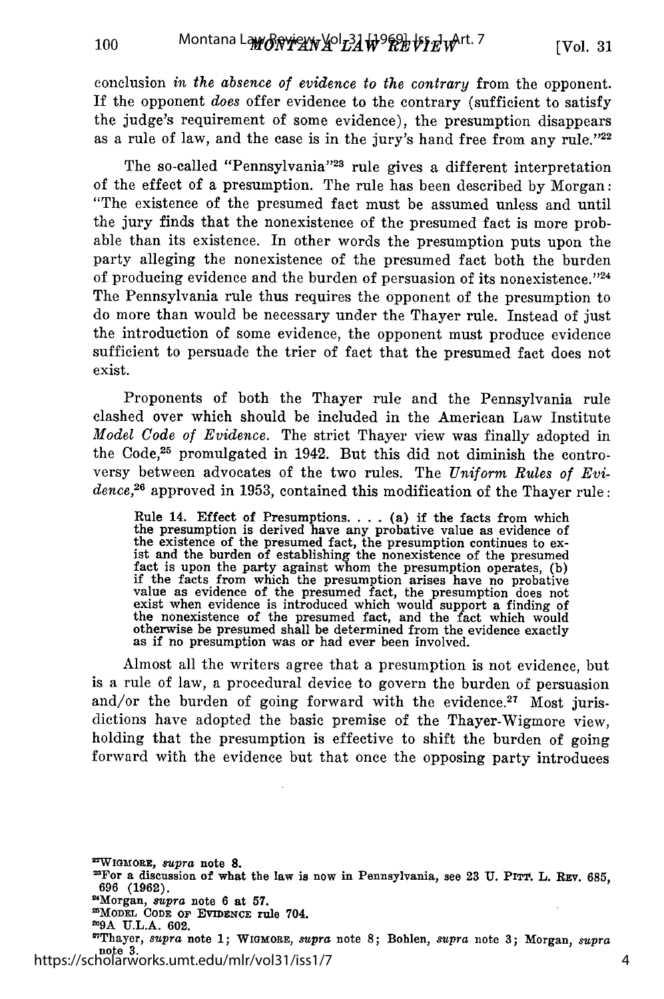conclusion *in the absence of evidence to the contrary* from the opponent. If the opponent *does* offer evidence to the contrary (sufficient to satisfy the judge's requirement of some evidence), the presumption disappears as a rule of law, and the case is in the jury's hand free from any rule."22

The so-called "Pennsylvania"<sup>23</sup> rule gives a different interpretation of the effect of a presumption. The rule has been described by Morgan: "The existence of the presumed fact must be assumed unless and until the jury finds that the nonexistence of the presumed fact is more probable than its existence. In other words the presumption puts upon the party alleging the nonexistence of the presumed fact both the burden of producing evidence and the burden of persuasion of its nonexistence.<sup> $24$ </sup> The Pennsylvania rule thus requires the opponent of the presumption to do more than would be necessary under the Thayer rule. Instead of just the introduction of some evidence, the opponent must produce evidence sufficient to persuade the trier of fact that the presumed fact does not exist.

Proponents of both the Thayer rule and the Pennsylvania rule clashed over which should be included in the American Law Institute *Model Code of Evidence.* The strict Thayer view was finally adopted in the Code,<sup>25</sup> promulgated in 1942. But this did not diminish the controversy between advocates of the two rules. The *Uniform Rules of Evidence,<sup>26</sup>*approved in 1953, contained this modification of the Thayer rule:

Rule 14. Effect of Presumptions. . . . (a) if the facts from which<br>the presumption is derived have any probative value as evidence of<br>the existence of the presumed fact, the presumption continues to ex-<br>ist and the burden exist when evidence is introduced which would support a finding of the nonexistence of the presumed fact, and the fact which would otherwise be presumed shall be determined from the evidence exactly as if no presumption was or had ever been involved.

Almost all the writers agree that a presumption is not evidence, but is a rule of law, a procedural device to govern the burden of persuasion and/or the burden of going forward with the evidence.<sup>27</sup> Most jurisdictions have adopted the basic premise of the Thayer-Wigmore view, holding that the presumption is effective to shift the burden of going forward with the evidence but that once the opposing party introduces

**2WIGMORE,** *supra* **note 8.**

**2For a discussion of what the law is now in Pennsylvania, see 23 U. Prix . L. Rxv. 685, 696 (1962).**

**2Morgan,** *supra* **note 6 at 57. MODEL CODE OF EVIDENCE rule** 704.

**29A U.L.A. 602.**

"Thayer, *supra* **note 1;** WIGMORE, *supra* note **8;** Bohlen, *supra* note **3;** Morgan, *supra* note<sup>3</sup>.<br>https://scholarworks.umt.edu/mlr/vol31/iss1/7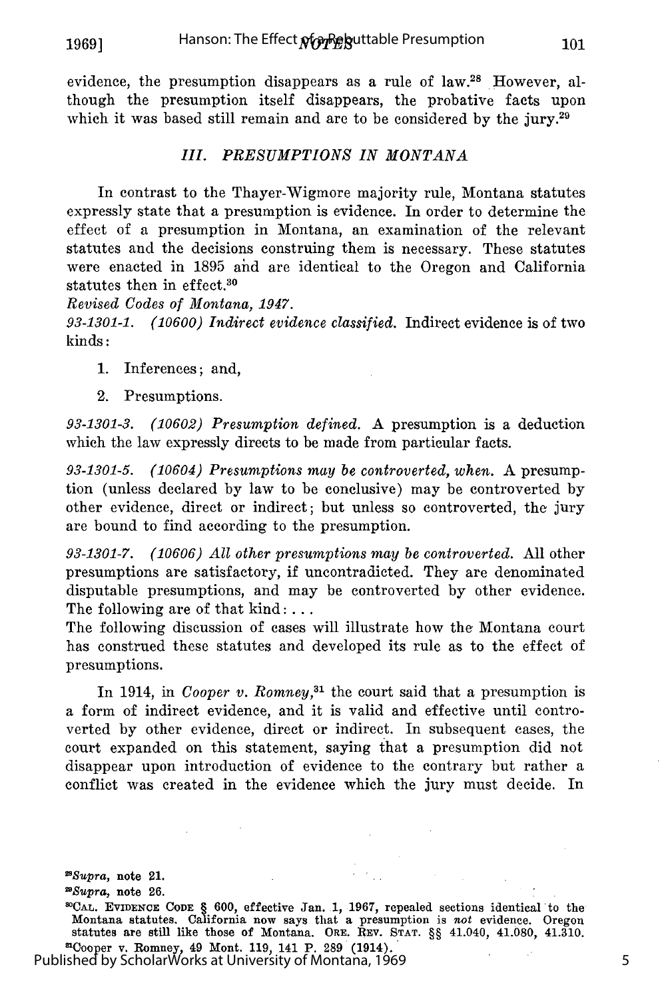**1969]**

evidence, the presumption disappears as a rule of law.<sup>28</sup> However, although the presumption itself disappears, the probative facts upon which it was based still remain and are to be considered by the jury. $29$ 

#### *III. PRESUMPTIONS IN MONTANA*

In contrast to the Thayer-Wigmore majority rule, Montana statutes expressly state that a presumption is evidence. In order to determine the effect of a presumption in Montana, an examination of the relevant statutes and the decisions construing them is necessary. These statutes were enacted in 1895 ahd are identical to the Oregon and California statutes then in effect.<sup>30</sup>

*Revised Codes of Montana, 1947.*

*93-1301-1. (10600) Indirect evidence classified.* Indirect evidence is of two kinds:

- 1. Inferences; and,
- 2. Presumptions.

*93-1301-3. (10602) Presumption defined.* A presumption is a deduction which the law expressly directs to be made from particular facts.

*93-1301-5. (10604) Presumptions may be controverted, when.* A presumption (unless declared by law to be conclusive) may be controverted by other evidence, direct or indirect; but unless so controverted, the jury are bound to find according to the presumption.

*93-1301-7. (10606) All other presumptions may be controverted.* All other presumptions are satisfactory, if uncontradicted. They are denominated disputable presumptions, and may be controverted by other evidence. The following are of that kind:...

The following discussion of cases will illustrate how the Montana court has construed these statutes and developed its rule as to the effect of presumptions.

In 1914, in *Cooper v. Romney*,<sup>31</sup> the court said that a presumption is a form of indirect evidence, and it is valid and effective until controverted by other evidence, direct or indirect. In subsequent cases, the court expanded on this statement, saying that a presumption did not disappear upon introduction of evidence to the contrary but rather a conflict was created in the evidence which the jury must decide. In

*2Supra,* note 21.

*2Supra,* note **26.**

O°CAL. EVIDENCE CODE § **600,** effective Jan. 1, 1967, repealed sections identical to the Montana statutes. California now says that a presumption is *not* evidence. Oregon statutes are still like those of Montana. ORE. REV. STAT. §§ 41.040, 41.080, 41.310. <sup>n</sup>Cooper v. Romney, 49 Mont. 119, 141 P. 289 (1914).

Published by ScholarWorks at University of Montana, 1969

5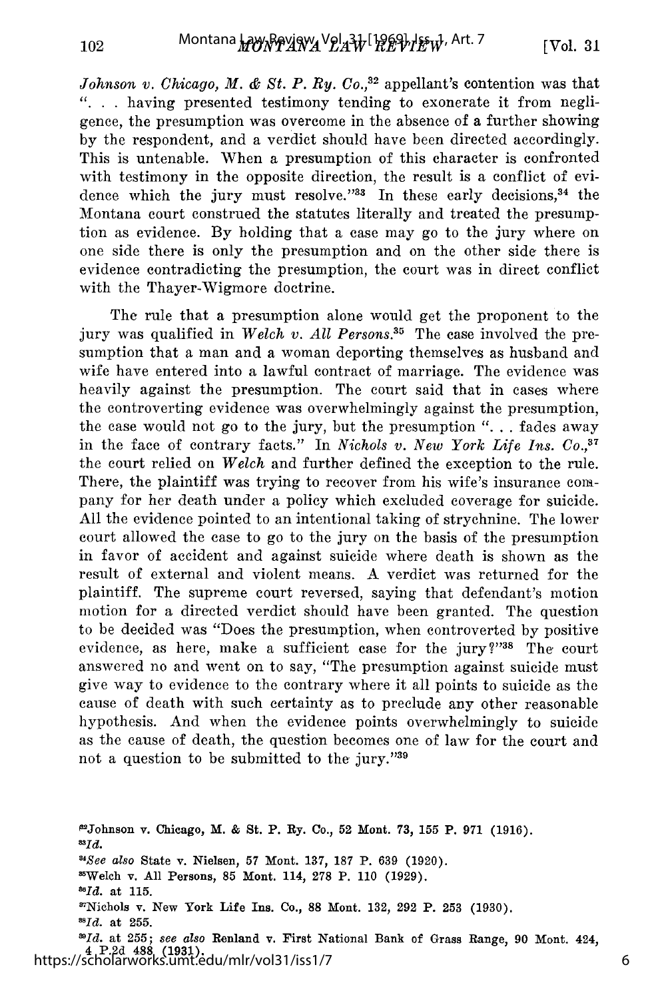*Johnson v. Chicago, M. & St. P. Ry. Co.*,<sup>32</sup> appellant's contention was that **"..** . having presented testimony tending to exonerate it from negligence, the presumption was overcome in the absence of a further showing by the respondent, and a verdict should have been directed accordingly. This is untenable. When a presumption of this character is confronted with testimony in the opposite direction, the result is a conflict of evidence which the jury must resolve."33 In these early decisions, 34 the Montana court construed the statutes literally and treated the presumption as evidence. By holding that a case may go to the jury where on one side there is only the presumption and on the other side there is evidence contradicting the presumption, the court was in direct conflict with the Thayer-Wigmore doctrine.

The rule that a presumption alone would get the proponent to the jury was qualified in *Welch v. All Persons*.<sup>35</sup> The case involved the presumption that a man and a woman deporting themselves as husband and wife have entered into a lawful contract of marriage. The evidence was heavily against the presumption. The court said that in cases where the controverting evidence was overwhelmingly against the presumption, the case would not go to the jury, but the presumption ". **.** . fades away in the face of contrary facts." In *Nichols v. New York Life Ins. Co.,37* the court relied on *Welch* and further defined the exception to the rule. There, the plaintiff was trying to recover from his wife's insurance company for her death under a policy which excluded coverage for suicide. All the evidence pointed to an intentional taking of strychnine. The lower court allowed the case to go to the jury on the basis of the presumption in favor of accident and against suicide where death is shown as the result of external and violent means. A verdict was returned for the plaintiff. The supreme court reversed, saying that defendant's motion motion for a directed verdict should have been granted. The question to be decided was "Does the presumption, when controverted by positive evidence, as here, make a sufficient case for the jury?"38 The court answered no and went on to say, "The presumption against suicide must give way to evidence to the contrary where it all points to suicide as the cause of death with such certainty as to preclude any other reasonable hypothesis. And when the evidence points overwhelmingly to suicide as the cause of death, the question becomes one of law for the court and not a question to be submitted to the jury."39

**PJohnson** v. Chicago, M. **& St. P. Ry.** Co., **52 Mont. 73, 155 P. 971 (1916).** *AId. "See also* State v. Nielsen, 57 Mont. **137, 187 P. 639 (1920).** ''Welch v. **All** Persons, **85** Mont. 114, 278 **P. 110 (1929).** *"Id.* at **115.** '7Nichols v. New York Life Ins. Co., **88** Mont. **132, 292 P. 253 (1930).** *"Id.* at **255.** *1Id.* at **255;** *see also* Renland v. **First** National Bank of Grass Range, **90** Mont. 424, 4 **P.2d 488 (1931).** https://scholarworks.umt.edu/mlr/vol31/iss1/7

6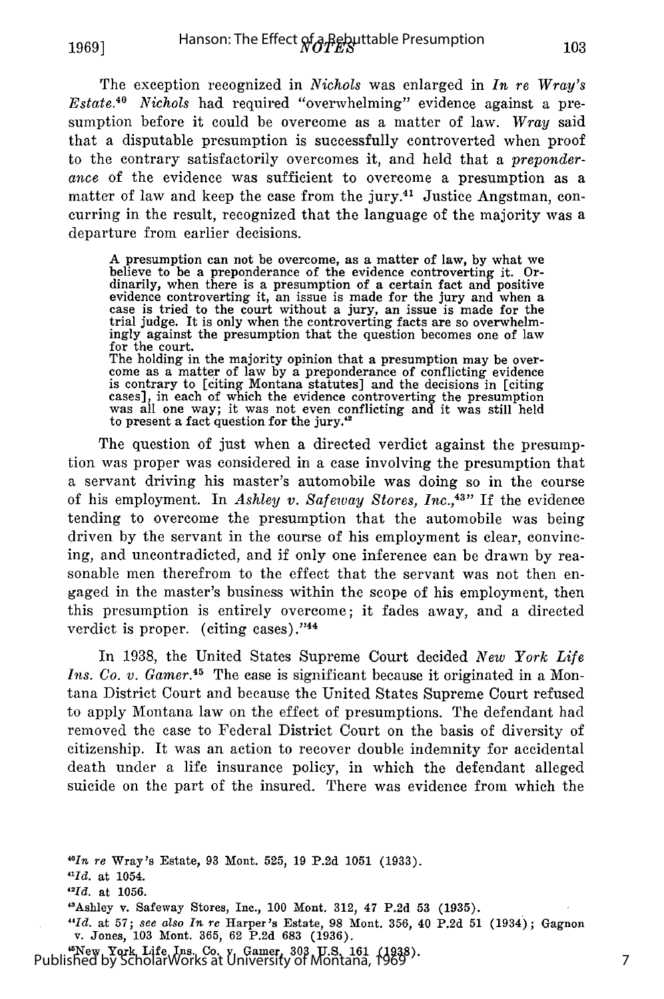**1969]**

The exception recognized in *Nichols* was enlarged in *In re Wray's Estate.4 0 Nichols* had required "overwhelming" evidence against a presumption before it could be overcome as a matter of law. *Wray* said that a disputable presumption is successfully controverted when proof to the contrary satisfactorily overcomes it, and held that a *preponder*ance of the evidence was sufficient to overcome a presumption as a matter of law and keep the case from the jury.<sup>41</sup> Justice Angstman, concurring in the result, recognized that the language of the majority was a departure from earlier decisions.

**A** presumption can not be overcome, as a matter of law, by what we believe to be a preponderance of the evidence controverting it. Ordinarily, when there is a presumption of a certain fact and positive evidence controverting it, an issue is made for the jury and when a case is tried to the court without a jury, an issue is made for the trial judge. It is only when the controverting facts are so overwhelmingly against the presumption that the question becomes one of law for the court. The holding in the majority opinion that a presumption may be overcome as a matter of law by a preponderance of conflicting evidence is contrary to [citing Montana statutes] and the decisions in [citing cases], in each of which the evidence controverting the presumption cases], in each of which the evidence controverting the presumption was all one way; it was not even conflicting and it was still held to present a fact question for the jury.<sup>42</sup>

The question of just when a directed verdict against the presumption was proper was considered in a case involving the presumption that a servant driving his master's automobile was doing so in the course of his employment. In *Ashley v. Safeway Stores, Inc.*,<sup>43</sup>" If the evidence tending to overcome the presumption that the automobile was being driven by the servant in the course of his employment is clear, convincing, and uncontradicted, and if only one inference can be drawn by reasonable men therefrom to the effect that the servant was not then engaged in the master's business within the scope of his employment, then this presumption is entirely overcome; it fades away, and a directed verdict is proper. (citing cases)." $44$ 

In 1938, the United States Supreme Court decided *New York Life Ins. Co. v. Gamer.*<sup>45</sup> The case is significant because it originated in a Montana District Court and because the United States Supreme Court refused to apply Montana law on the effect of presumptions. The defendant had removed the case to Federal District Court on the basis of diversity of citizenship. It was an action to recover double indemnity for accidental death under a life insurance policy, in which the defendant alleged suicide on the part of the insured. There was evidence from which the

*40In re* Wray's Estate, **93** Mont. **525, 19 P.2d 1051 (1933).**

"New **York** Life Ins. **Co.** v. Gamer, **303 U.S. 161 (1938).** Published by ScholarWorks at University of Montana, 1969

*<sup>&</sup>quot;Id.* **at 1054.**

*<sup>&</sup>quot;Id.* at **1056.**

<sup>&#</sup>x27;Ashley v. Safeway Stores, **Inc.,** 100 Mont. **312,** 47 **P.2d 53 (1935).**

*<sup>&</sup>quot;Id.* **at 57;** *see also In re* Harper's Estate, **98** Mont. 356, 40 P.2d 51 (1934); Gagnon v. Jones, **103** Mont. **365, 62 P.2d 683 (1936).**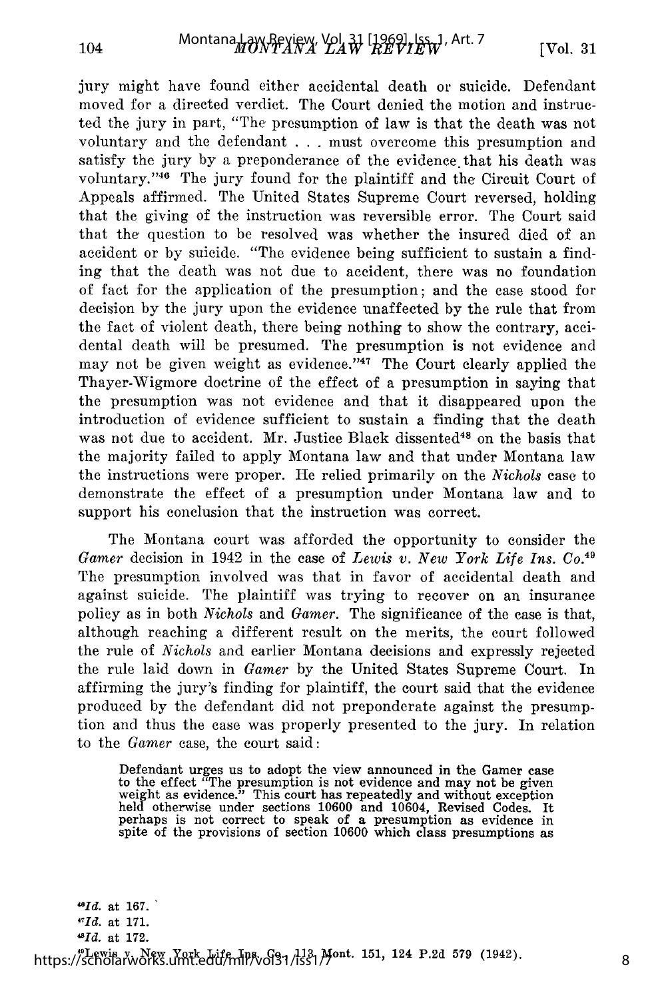104

jury might have found either accidental death or suicide. Defendant moved for a directed verdict. The Court denied the motion and instructed the jury in part, "The presumption of law is that the death was not voluntary and the defendant . . . must overcome this presumption and satisfy the jury by a preponderance of the evidence, that his death was voluntary. '46 The jury found for the plaintiff and the Circuit Court of Appeals affirmed. The United States Supreme Court reversed, holding that the giving of the instruction was reversible error. The Court said that the question to be resolved was whether the insured died of an accident or by suicide. "The evidence being sufficient to sustain a finding that the death was not due to accident, there was no foundation of fact for the application of the presumption; and the case stood for decision by the jury upon the evidence unaffected by the rule that from the fact of violent death, there being nothing to show the contrary, accidental death will be presumed. The presumption is not evidence and may not be given weight as evidence."<sup>47</sup> The Court clearly applied the Thayer-Wigmore doctrine of the effect of a presumption in saying that the presumption was not evidence and that it disappeared upon the introduction of evidence sufficient to sustain a finding that the death was not due to accident. Mr. Justice Black dissented<sup>48</sup> on the basis that the majority failed to apply Montana law and that under Montana law the instructions were proper. He relied primarily on the *Nichols* case to demonstrate the effect of a presumption under Montana law and to support his conclusion that the instruction was correct.

The Montana court was afforded the opportunity to consider the *Gamer* decision in 1942 in the case of *Lewis v. New York Life Ins. Co. <sup>49</sup>* The presumption involved was that in favor of accidental death and against suicide. The plaintiff was trying to recover on an insurance policy as in both *Nichols* and *Gamer.* The significance of the case is that, although reaching a different result on the merits, the court followed the rule of *Nichols* and earlier Montana decisions and expressly rejected the rule laid down in *Gamer* by the United States Supreme Court. In affirming the jury's finding for plaintiff, the court said that the evidence produced by the defendant did not preponderate against the presumption and thus the case was properly presented to the jury. In relation to the *Gamer* case, the court said:

Defendant urges us to adopt the view announced in the Gamer case to the effect "The presumption is not evidence and may not be given weight as evidence." This court has repeatedly and without exception held otherwise under sections 10600 and 10604, Revised Codes. It perhaps is not correct to speak of a presumption as evidence in spite of the provisions of section 10600 which class presumptions as

*"Id.* at **167.** *11Id.* at 171. 8  $^{48}Id$  at 172. https://scholarworks.umt.edu/mlp.vol31/l331/Jont. 151, 124 P.2d 579 (1942)